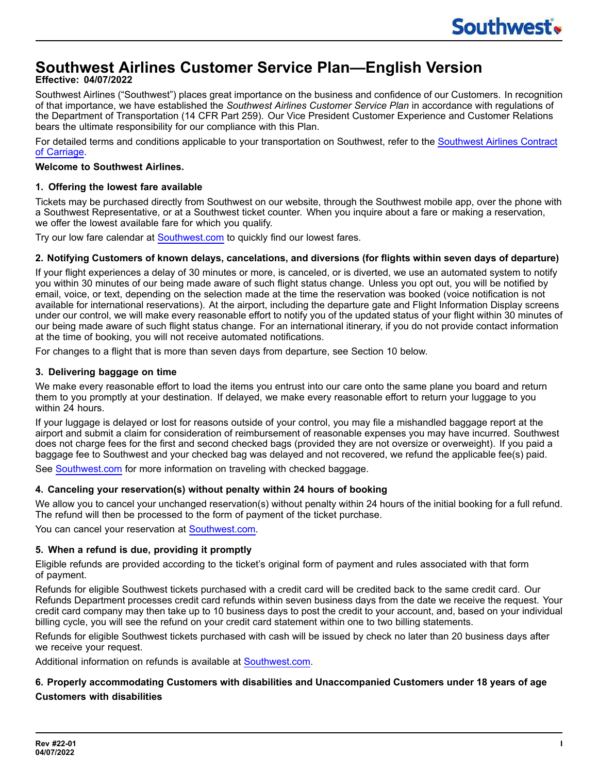# **Southwest Airlines Customer Service Plan—English Version**

# **Effective: 04/07/2022**

Southwest Airlines ("Southwest") places great importance on the business and confidence of our Customers. In recognition of that importance, we have established the *Southwest Airlines Customer Service Plan* in accordance with regulations of the Department of Transportation (14 CFR Part 259). Our Vice President Customer Experience and Customer Relations bears the ultimate responsibility for our compliance with this Plan.

For detailed terms and conditions applicable to your transportation on Southwest, refer to the [Southwest](https://www.southwest.com/assets/pdfs/corporate-commitments/contract-of-carriage.pdf) Airlines Contract of [Carriage](https://www.southwest.com/assets/pdfs/corporate-commitments/contract-of-carriage.pdf).

## **Welcome to Southwest Airlines.**

## **1. Offering the lowest fare available**

Tickets may be purchased directly from Southwest on our website, through the Southwest mobile app, over the phone with a Southwest Representative, or at a Southwest ticket counter. When you inquire about a fare or making a reservation, we offer the lowest available fare for which you qualify.

Try our low fare calendar at [Southwest.com](https://www.southwest.com/air/low-fare-calendar/index.html?redirectToVision=true&leapfrogRequest=true) to quickly find our lowest fares.

# 2. Notifying Customers of known delays, cancelations, and diversions (for flights within seven days of departure)

If your flight experiences a delay of 30 minutes or more, is canceled, or is diverted, we use an automated system to notify you within 30 minutes of our being made aware of such flight status change. Unless you opt out, you will be notified by email, voice, or text, depending on the selection made at the time the reservation was booked (voice notification is not available for international reservations). At the airport, including the departure gate and Flight Information Display screens under our control, we will make every reasonable effort to notify you of the updated status of your flight within 30 minutes of our being made aware of such flight status change. For an international itinerary, if you do not provide contact information at the time of booking, you will not receive automated notifications.

For changes to a flight that is more than seven days from departure, see Section 10 below.

## **3. Delivering baggage on time**

We make every reasonable effort to load the items you entrust into our care onto the same plane you board and return them to you promptly at your destination. If delayed, we make every reasonable effort to return your luggage to you within 24 hours.

If your luggage is delayed or lost for reasons outside of your control, you may file a mishandled baggage report at the airport and submit a claim for consideration of reimbursement of reasonable expenses you may have incurred. Southwest does not charge fees for the first and second checked bags (provided they are not oversize or overweight). If you paid a baggage fee to Southwest and your checked bag was delayed and not recovered, we refund the applicable fee(s) paid.

See [Southwest.com](https://www.southwest.com/html/customer-service/baggage/checked-bags-pol.html) for more information on traveling with checked baggage.

# **4. Canceling your reservation(s) without penalty within 24 hours of booking**

We allow you to cancel your unchanged reservation(s) without penalty within 24 hours of the initial booking for a full refund. The refund will then be processed to the form of payment of the ticket purchase.

You can cancel your reservation at [Southwest.com.](https://www.southwest.com/air/cancel-reservation/index.html)

# **5. When a refund is due, providing it promptly**

Eligible refunds are provided according to the ticket's original form of payment and rules associated with that form of payment.

Refunds for eligible Southwest tickets purchased with a credit card will be credited back to the same credit card. Our Refunds Department processes credit card refunds within seven business days from the date we receive the request. Your credit card company may then take up to 10 business days to post the credit to your account, and, based on your individual billing cycle, you will see the refund on your credit card statement within one to two billing statements.

Refunds for eligible Southwest tickets purchased with cash will be issued by check no later than 20 business days after we receive your request.

Additional information on refunds is available at [Southwest.com.](https://www.southwest.com/html/customer-service/purchasing-and-refunds/refund-info-pol.html)

# **6. Properly accommodating Customers with disabilities and Unaccompanied Customers under 18 years of age Customers with disabilities**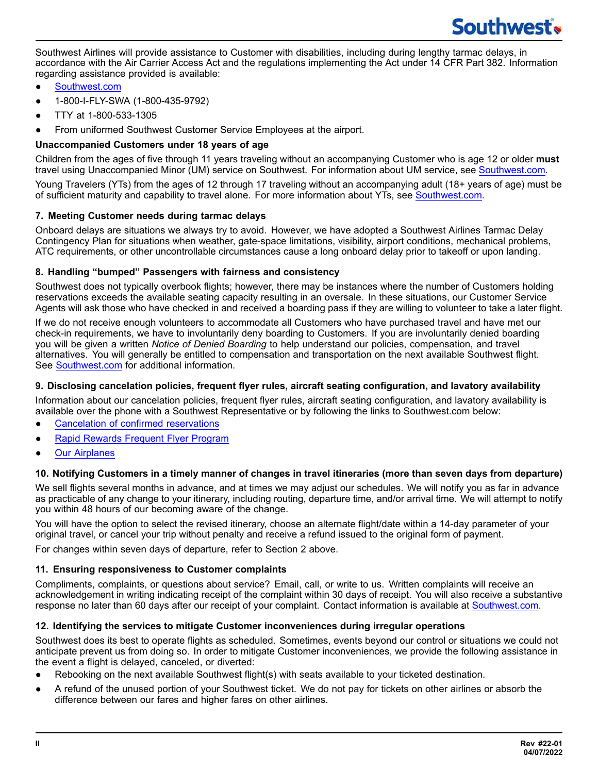Southwest Airlines will provide assistance to Customer with disabilities, including during lengthy tarmac delays, in accordance with the Air Carrier Access Act and the regulations implementing the Act under 14 CFR Part 382. Information regarding assistance provided is available:

- [Southwest.com](https://www.southwest.com/html/customer-service/unique-travel-needs/customers-with-disabilities-pol.html)
- ● 1-800-I-FLY-SWA (1-800-435-9792)
- TTY at 1-800-533-1305
- From uniformed Southwest Customer Service Employees at the airport.

## **Unaccompanied Customers under 18 years of age**

Children from the ages of five through 11 years traveling without an accompanying Customer who is age 12 or older **must** travel using Unaccompanied Minor (UM) service on Southwest. For information about UM service, see [Southwest.com](https://www.southwest.com/html/customer-service/family/unaccompanied-minors-pol.html).

Young Travelers (YTs) from the ages of 12 through 17 traveling without an accompanying adult (18+ years of age) must be of sufficient maturity and capability to travel alone. For more information about YTs, see [Southwest.com.](https://www.southwest.com/html/customer-service/family/young-travelers.html)

## **7. Meeting Customer needs during tarmac delays**

Onboard delays are situations we always try to avoid. However, we have adopted a Southwest Airlines Tarmac Delay Contingency Plan for situations when weather, gate-space limitations, visibility, airport conditions, mechanical problems, ATC requirements, or other uncontrollable circumstances cause a long onboard delay prior to takeoff or upon landing.

## **8. Handling "bumped" Passengers with fairness and consistency**

Southwest does not typically overbook flights; however, there may be instances where the number of Customers holding reservations exceeds the available seating capacity resulting in an oversale. In these situations, our Customer Service Agents will ask those who have checked in and received a boarding pass if they are willing to volunteer to take a later flight.

If we do not receive enough volunteers to accommodate all Customers who have purchased travel and have met our check-in requirements, we have to involuntarily deny boarding to Customers. If you are involuntarily denied boarding you will be given a written *Notice of Denied Boarding* to help understand our policies, compensation, and travel alternatives. You will generally be entitled to compensation and transportation on the next available Southwest flight. See [Southwest.com](https://www.southwest.com/html/customer-service/faqs.html?topic=overbooking) for additional information.

## **9. Disclosing cancelation policies, frequent flyer rules, aircraft seating configuration, and lavatory availability**

Information about our cancelation policies, frequent flyer rules, aircraft seating configuration, and lavatory availability is available over the phone with a Southwest Representative or by following the links to Southwest.com below:

- Cancelation of confirmed [reservations](https://www.southwest.com/help/changes-and-cancellations/changing-cancelling-flights)
- **Rapid Rewards [Frequent](https://www.southwest.com/rapidrewards/about) Flyer Program**
- **Our [Airplanes](https://www.southwest.com/html/travel-experience/in-the-air.html#our_airplanes)**

### 10. Notifying Customers in a timely manner of changes in travel itineraries (more than seven days from departure)

We sell flights several months in advance, and at times we may adjust our schedules. We will notify you as far in advance as practicable of any change to your itinerary, including routing, departure time, and/or arrival time. We will attempt to notify you within 48 hours of our becoming aware of the change.

You will have the option to select the revised itinerary, choose an alternate flight/date within a 14-day parameter of your original travel, or cancel your trip without penalty and receive a refund issued to the original form of payment.

For changes within seven days of departure, refer to Section 2 above.

### **11. Ensuring responsiveness to Customer complaints**

Compliments, complaints, or questions about service? Email, call, or write to us. Written complaints will receive an acknowledgement in writing indicating receipt of the complaint within 30 days of receipt. You will also receive a substantive response no later than 60 days after our receipt of your complaint. Contact information is available at [Southwest.com.](https://www.southwest.com/contact-us/contact-us.html)

### **12. Identifying the services to mitigate Customer inconveniences during irregular operations**

Southwest does its best to operate flights as scheduled. Sometimes, events beyond our control or situations we could not anticipate prevent us from doing so. In order to mitigate Customer inconveniences, we provide the following assistance in the event a flight is delayed, canceled, or diverted:

- Rebooking on the next available Southwest flight(s) with seats available to your ticketed destination.
- A refund of the unused portion of your Southwest ticket. We do not pay for tickets on other airlines or absorb the difference between our fares and higher fares on other airlines.